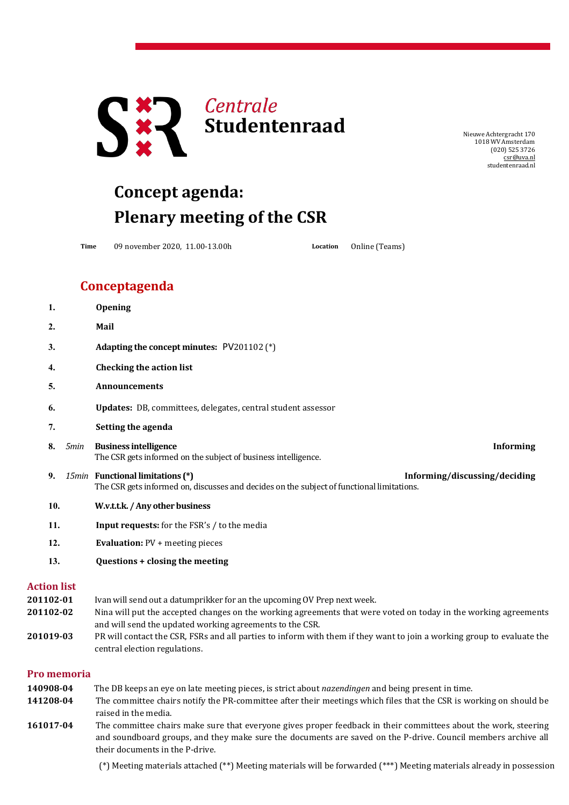

NieuweAchtergracht 170 1018 WV Amsterdam (020) 525 3726 [csr@uva.nl](mailto:csr@uva.nl) studentenraad.nl

## **Concept agenda: Plenary meeting of the CSR**

**Time** 09 november 2020, 11.00-13.00h **Location** Online (Teams)

## **Conceptagenda**

|           | 1.                 |      | <b>Opening</b>                                                                                                                                                                                                                                                                                                                                                                             |
|-----------|--------------------|------|--------------------------------------------------------------------------------------------------------------------------------------------------------------------------------------------------------------------------------------------------------------------------------------------------------------------------------------------------------------------------------------------|
|           | 2.                 |      | Mail                                                                                                                                                                                                                                                                                                                                                                                       |
|           | 3.                 |      | Adapting the concept minutes: PV201102 (*)                                                                                                                                                                                                                                                                                                                                                 |
|           | 4.                 |      | <b>Checking the action list</b>                                                                                                                                                                                                                                                                                                                                                            |
|           | 5.                 |      | <b>Announcements</b>                                                                                                                                                                                                                                                                                                                                                                       |
|           | 6.                 |      | <b>Updates:</b> DB, committees, delegates, central student assessor                                                                                                                                                                                                                                                                                                                        |
|           | 7.                 |      | Setting the agenda                                                                                                                                                                                                                                                                                                                                                                         |
|           | 8.                 | 5min | <b>Business intelligence</b><br><b>Informing</b><br>The CSR gets informed on the subject of business intelligence.                                                                                                                                                                                                                                                                         |
|           | 9.                 |      | 15min Functional limitations (*)<br>Informing/discussing/deciding<br>The CSR gets informed on, discusses and decides on the subject of functional limitations.                                                                                                                                                                                                                             |
|           | 10.                |      | W.v.t.t.k. / Any other business                                                                                                                                                                                                                                                                                                                                                            |
|           | 11.                |      | <b>Input requests:</b> for the FSR's / to the media                                                                                                                                                                                                                                                                                                                                        |
|           | 12.<br>13.         |      | <b>Evaluation:</b> $PV$ + meeting pieces                                                                                                                                                                                                                                                                                                                                                   |
|           |                    |      | Questions + closing the meeting                                                                                                                                                                                                                                                                                                                                                            |
|           | <b>Action list</b> |      |                                                                                                                                                                                                                                                                                                                                                                                            |
| 201102-01 |                    |      | Ivan will send out a datumprikker for an the upcoming OV Prep next week.                                                                                                                                                                                                                                                                                                                   |
| 201102-02 |                    |      | Nina will put the accepted changes on the working agreements that were voted on today in the working agreements<br>and will send the updated working agreements to the CSR.                                                                                                                                                                                                                |
|           |                    |      | $\overline{1}$ and $\overline{1}$ and $\overline{1}$ $\overline{1}$ $\overline{1}$ $\overline{1}$ $\overline{1}$ $\overline{1}$ $\overline{1}$ $\overline{1}$ $\overline{1}$ $\overline{1}$ $\overline{1}$ $\overline{1}$ $\overline{1}$ $\overline{1}$ $\overline{1}$ $\overline{1}$ $\overline{1}$ $\overline{1}$ $\overline{1}$ $\overline{1}$ $\overline{1}$ $\overline{1$<br>$\cdots$ |

**201019-03** PR will contact the CSR, FSRs and all parties to inform with them if they want to join a working group to evaluate the central election regulations.

## **Pro memoria**

| 140908-04 | The DB keeps an eye on late meeting pieces, is strict about <i>nazendingen</i> and being present in time.          |
|-----------|--------------------------------------------------------------------------------------------------------------------|
| 141208-04 | The committee chairs notify the PR-committee after their meetings which files that the CSR is working on should be |
|           | raised in the media.                                                                                               |
| 161017-04 | The committee chairs make sure that everyone gives proper feedback in their committees about the work, steering    |
|           | and soundboard groups, and they make sure the documents are saved on the P-drive. Council members archive all      |
|           | their documents in the P-drive.                                                                                    |

(\*) Meeting materials attached (\*\*) Meeting materials will be forwarded (\*\*\*) Meeting materials already in possession